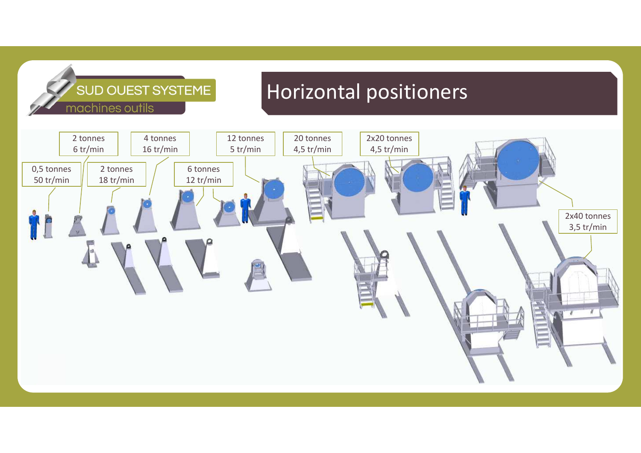SUD OUEST SYSTEME

machines outils

# Horizontal positioners

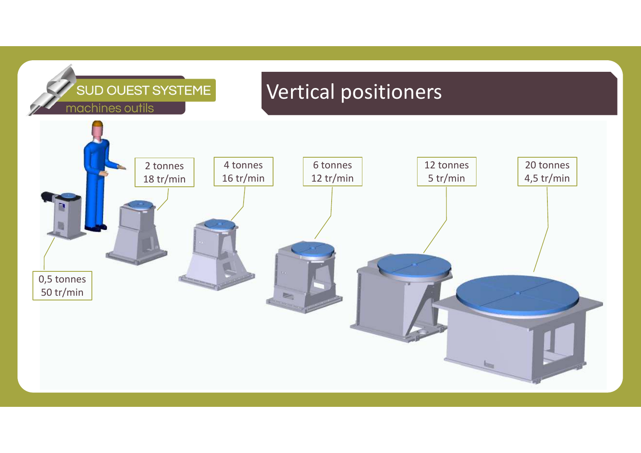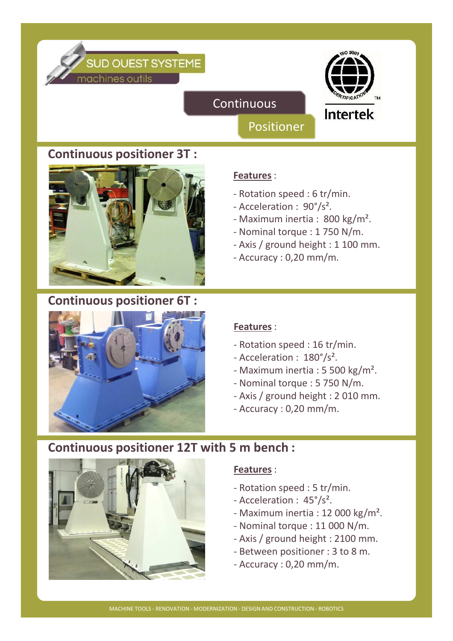SUD OUEST SYSTEME machines outils

**Continuous** 



**Intertek** 

# **Continuous positioner 3T :**



# **Continuous positioner 6T :**



#### **Features**:

- Rotation speed : 6 tr/min.
- Acceleration : 90°/s².

Positioner

- Maximum inertia : 800 kg/m².
- Nominal torque : 1 750 N/m.
- Axis / ground height : 1 100 mm.
- Accuracy : 0,20 mm/m.

#### **Features**:

- Rotation speed : 16 tr/min.
- Acceleration : 180°/s².
- Maximum inertia : 5 500 kg/m².
- Nominal torque : 5 750 N/m.
- Axis / ground height : 2 010 mm.
- Accuracy : 0,20 mm/m.

# **Continuous positioner 12T with 5 m bench :**



#### **Features**:

- Rotation speed : 5 tr/min.
- Acceleration : 45°/s².
- Maximum inertia : 12 000 kg/m².
- Nominal torque : 11 000 N/m.
- Axis / ground height : 2100 mm.
- Between positioner : 3 to 8 m.
- Accuracy : 0,20 mm/m.